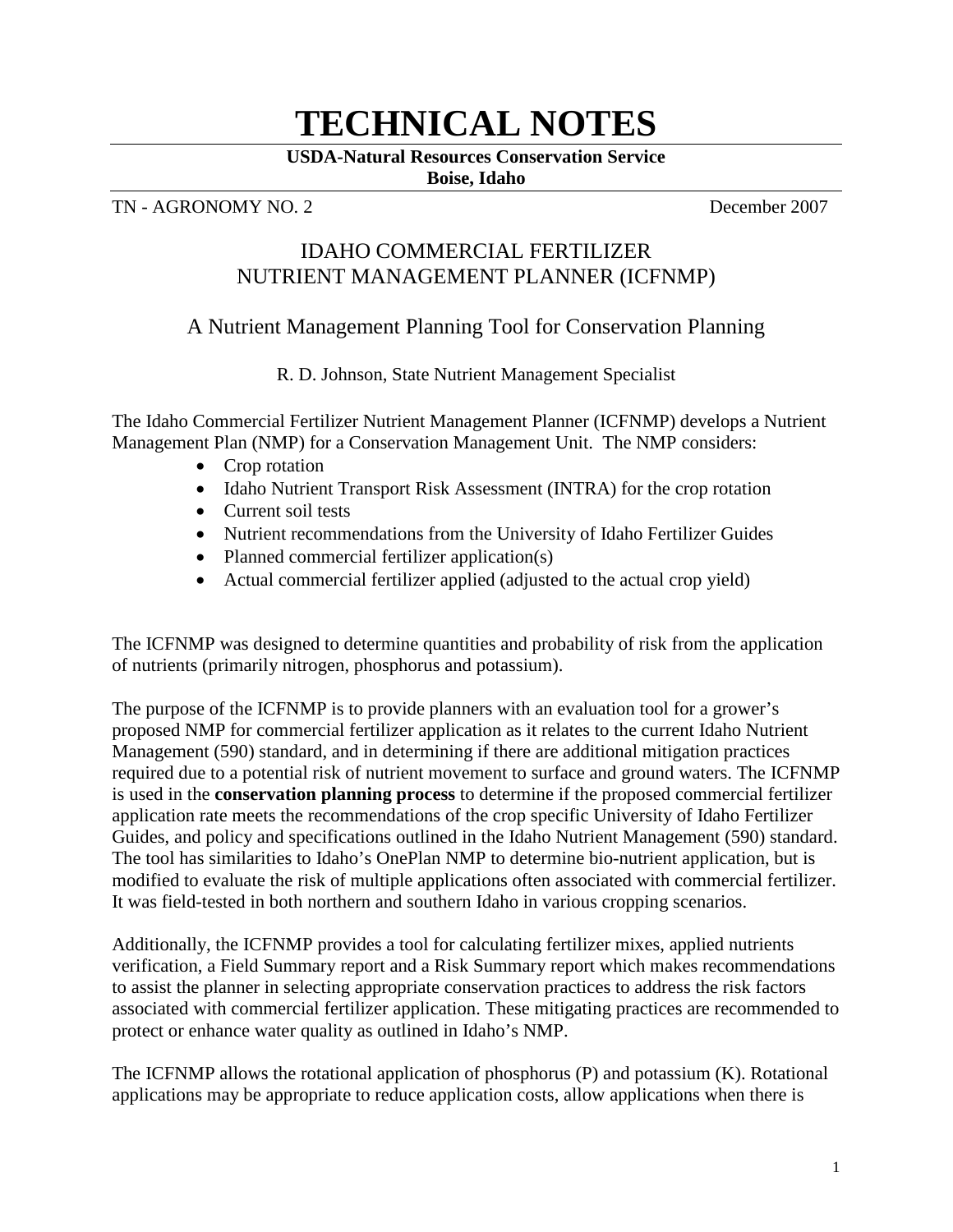# **TECHNICAL NOTES**

**USDA-Natural Resources Conservation Service**

**Boise, Idaho**

# TN - AGRONOMY NO. 2<sup>2</sup> **December 2007**

# IDAHO COMMERCIAL FERTILIZER NUTRIENT MANAGEMENT PLANNER (ICFNMP)

# A Nutrient Management Planning Tool for Conservation Planning

R. D. Johnson, State Nutrient Management Specialist

The Idaho Commercial Fertilizer Nutrient Management Planner (ICFNMP) develops a Nutrient Management Plan (NMP) for a Conservation Management Unit. The NMP considers:

- Crop rotation
- Idaho Nutrient Transport Risk Assessment (INTRA) for the crop rotation
- Current soil tests
- Nutrient recommendations from the University of Idaho Fertilizer Guides
- Planned commercial fertilizer application(s)
- Actual commercial fertilizer applied (adjusted to the actual crop yield)

The ICFNMP was designed to determine quantities and probability of risk from the application of nutrients (primarily nitrogen, phosphorus and potassium).

The purpose of the ICFNMP is to provide planners with an evaluation tool for a grower's proposed NMP for commercial fertilizer application as it relates to the current Idaho Nutrient Management (590) standard, and in determining if there are additional mitigation practices required due to a potential risk of nutrient movement to surface and ground waters. The ICFNMP is used in the **conservation planning process** to determine if the proposed commercial fertilizer application rate meets the recommendations of the crop specific University of Idaho Fertilizer Guides, and policy and specifications outlined in the Idaho Nutrient Management (590) standard. The tool has similarities to Idaho's OnePlan NMP to determine bio-nutrient application, but is modified to evaluate the risk of multiple applications often associated with commercial fertilizer. It was field-tested in both northern and southern Idaho in various cropping scenarios.

Additionally, the ICFNMP provides a tool for calculating fertilizer mixes, applied nutrients verification, a Field Summary report and a Risk Summary report which makes recommendations to assist the planner in selecting appropriate conservation practices to address the risk factors associated with commercial fertilizer application. These mitigating practices are recommended to protect or enhance water quality as outlined in Idaho's NMP.

The ICFNMP allows the rotational application of phosphorus (P) and potassium (K). Rotational applications may be appropriate to reduce application costs, allow applications when there is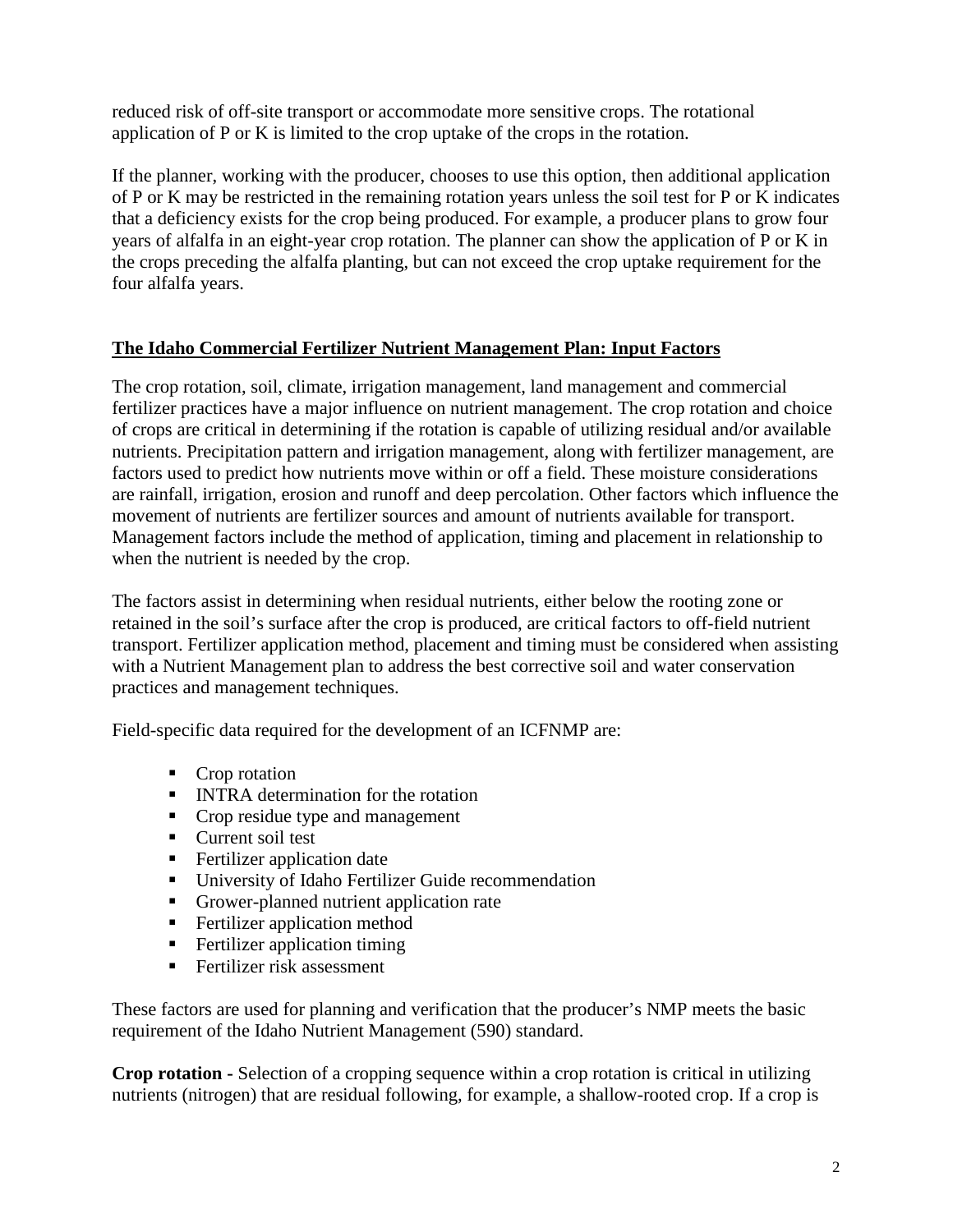reduced risk of off-site transport or accommodate more sensitive crops. The rotational application of P or K is limited to the crop uptake of the crops in the rotation.

If the planner, working with the producer, chooses to use this option, then additional application of P or K may be restricted in the remaining rotation years unless the soil test for P or K indicates that a deficiency exists for the crop being produced. For example, a producer plans to grow four years of alfalfa in an eight-year crop rotation. The planner can show the application of P or K in the crops preceding the alfalfa planting, but can not exceed the crop uptake requirement for the four alfalfa years.

# **The Idaho Commercial Fertilizer Nutrient Management Plan: Input Factors**

The crop rotation, soil, climate, irrigation management, land management and commercial fertilizer practices have a major influence on nutrient management. The crop rotation and choice of crops are critical in determining if the rotation is capable of utilizing residual and/or available nutrients. Precipitation pattern and irrigation management, along with fertilizer management, are factors used to predict how nutrients move within or off a field. These moisture considerations are rainfall, irrigation, erosion and runoff and deep percolation. Other factors which influence the movement of nutrients are fertilizer sources and amount of nutrients available for transport. Management factors include the method of application, timing and placement in relationship to when the nutrient is needed by the crop.

The factors assist in determining when residual nutrients, either below the rooting zone or retained in the soil's surface after the crop is produced, are critical factors to off-field nutrient transport. Fertilizer application method, placement and timing must be considered when assisting with a Nutrient Management plan to address the best corrective soil and water conservation practices and management techniques.

Field-specific data required for the development of an ICFNMP are:

- Crop rotation
- **INTRA** determination for the rotation
- Crop residue type and management
- $\blacksquare$  Current soil test
- **Fertilizer application date**
- University of Idaho Fertilizer Guide recommendation
- Grower-planned nutrient application rate
- **Fertilizer application method**
- $\blacksquare$  Fertilizer application timing
- **Fertilizer risk assessment**

These factors are used for planning and verification that the producer's NMP meets the basic requirement of the Idaho Nutrient Management (590) standard.

**Crop rotation -** Selection of a cropping sequence within a crop rotation is critical in utilizing nutrients (nitrogen) that are residual following, for example, a shallow-rooted crop. If a crop is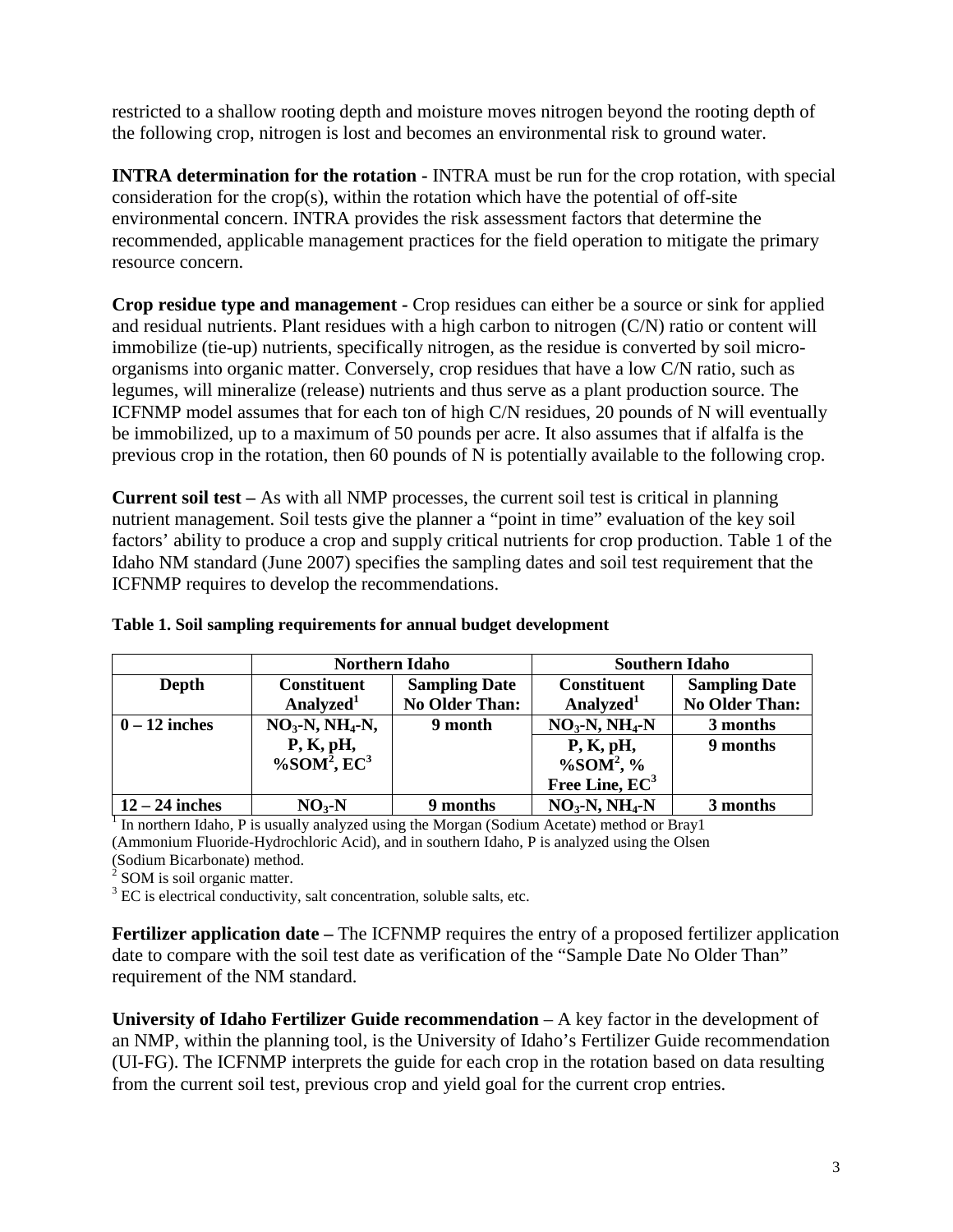restricted to a shallow rooting depth and moisture moves nitrogen beyond the rooting depth of the following crop, nitrogen is lost and becomes an environmental risk to ground water.

**INTRA determination for the rotation -** INTRA must be run for the crop rotation, with special consideration for the crop(s), within the rotation which have the potential of off-site environmental concern. INTRA provides the risk assessment factors that determine the recommended, applicable management practices for the field operation to mitigate the primary resource concern.

**Crop residue type and management -** Crop residues can either be a source or sink for applied and residual nutrients. Plant residues with a high carbon to nitrogen (C/N) ratio or content will immobilize (tie-up) nutrients, specifically nitrogen, as the residue is converted by soil microorganisms into organic matter. Conversely, crop residues that have a low C/N ratio, such as legumes, will mineralize (release) nutrients and thus serve as a plant production source. The ICFNMP model assumes that for each ton of high C/N residues, 20 pounds of N will eventually be immobilized, up to a maximum of 50 pounds per acre. It also assumes that if alfalfa is the previous crop in the rotation, then 60 pounds of N is potentially available to the following crop.

**Current soil test –** As with all NMP processes, the current soil test is critical in planning nutrient management. Soil tests give the planner a "point in time" evaluation of the key soil factors' ability to produce a crop and supply critical nutrients for crop production. Table 1 of the Idaho NM standard (June 2007) specifies the sampling dates and soil test requirement that the ICFNMP requires to develop the recommendations.

|                        |                                                      | <b>Northern Idaho</b>                         | <b>Southern Idaho</b>                           |                                        |  |
|------------------------|------------------------------------------------------|-----------------------------------------------|-------------------------------------------------|----------------------------------------|--|
| Depth                  | <b>Constituent</b><br>Analyzed <sup>1</sup>          | <b>Sampling Date</b><br><b>No Older Than:</b> | <b>Constituent</b><br>Analyzed <sup>1</sup>     | <b>Sampling Date</b><br>No Older Than: |  |
| $0 - 12$ inches        | $NO3$ -N, NH <sub>4</sub> -N,                        | 9 month                                       | $NO3-N, NH4-N$                                  | 3 months                               |  |
|                        | P, K, pH,<br>$\%$ SOM <sup>2</sup> , EC <sup>3</sup> |                                               | P, K, pH,<br>$\%$ SOM <sup>2</sup> , %          | 9 months                               |  |
| $\pm 12$ $-$ 24 inches | $NO.-N$                                              | 9 months                                      | Free Line, EC <sup>3</sup><br>$NO3-N$ , $NH4-N$ | 3 months                               |  |

#### **Table 1. Soil sampling requirements for annual budget development**

<sup>1</sup> In northern Idaho, P is usually analyzed using the Morgan (Sodium Acetate) method or Bray1 (Ammonium Fluoride-Hydrochloric Acid), and in southern Idaho, P is analyzed using the Olsen (Sodium Bicarbonate) method.

 $2^{2}$  SOM is soil organic matter.

 $3 \text{ EC}$  is electrical conductivity, salt concentration, soluble salts, etc.

**Fertilizer application date** – The ICFNMP requires the entry of a proposed fertilizer application date to compare with the soil test date as verification of the "Sample Date No Older Than" requirement of the NM standard.

**University of Idaho Fertilizer Guide recommendation** – A key factor in the development of an NMP, within the planning tool, is the University of Idaho's Fertilizer Guide recommendation (UI-FG). The ICFNMP interprets the guide for each crop in the rotation based on data resulting from the current soil test, previous crop and yield goal for the current crop entries.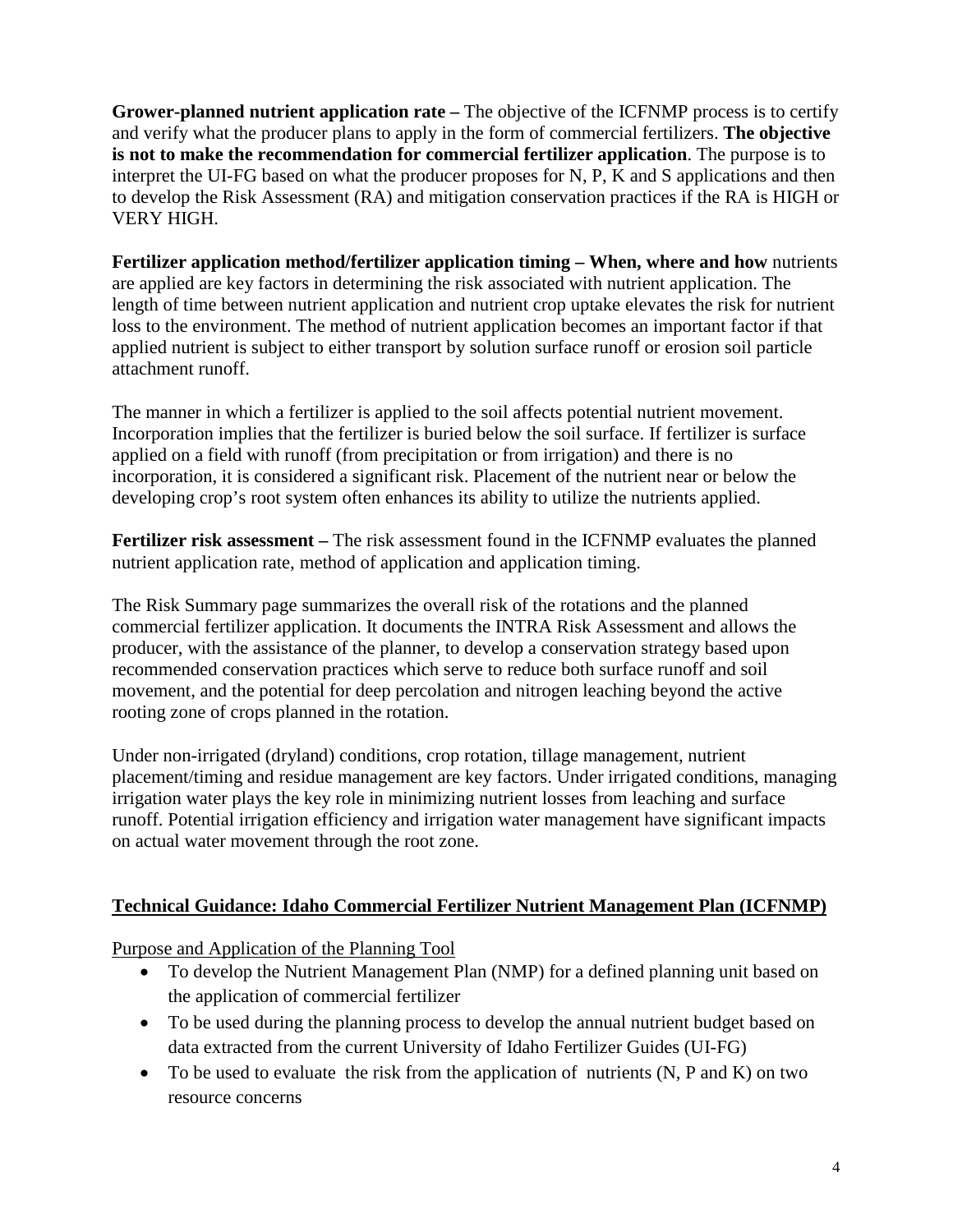**Grower-planned nutrient application rate –** The objective of the ICFNMP process is to certify and verify what the producer plans to apply in the form of commercial fertilizers. **The objective is not to make the recommendation for commercial fertilizer application**. The purpose is to interpret the UI-FG based on what the producer proposes for N, P, K and S applications and then to develop the Risk Assessment (RA) and mitigation conservation practices if the RA is HIGH or VERY HIGH.

**Fertilizer application method/fertilizer application timing – When, where and how** nutrients are applied are key factors in determining the risk associated with nutrient application. The length of time between nutrient application and nutrient crop uptake elevates the risk for nutrient loss to the environment. The method of nutrient application becomes an important factor if that applied nutrient is subject to either transport by solution surface runoff or erosion soil particle attachment runoff.

The manner in which a fertilizer is applied to the soil affects potential nutrient movement. Incorporation implies that the fertilizer is buried below the soil surface. If fertilizer is surface applied on a field with runoff (from precipitation or from irrigation) and there is no incorporation, it is considered a significant risk. Placement of the nutrient near or below the developing crop's root system often enhances its ability to utilize the nutrients applied.

**Fertilizer risk assessment –** The risk assessment found in the ICFNMP evaluates the planned nutrient application rate, method of application and application timing.

The Risk Summary page summarizes the overall risk of the rotations and the planned commercial fertilizer application. It documents the INTRA Risk Assessment and allows the producer, with the assistance of the planner, to develop a conservation strategy based upon recommended conservation practices which serve to reduce both surface runoff and soil movement, and the potential for deep percolation and nitrogen leaching beyond the active rooting zone of crops planned in the rotation.

Under non-irrigated (dryland) conditions, crop rotation, tillage management, nutrient placement/timing and residue management are key factors. Under irrigated conditions, managing irrigation water plays the key role in minimizing nutrient losses from leaching and surface runoff. Potential irrigation efficiency and irrigation water management have significant impacts on actual water movement through the root zone.

# **Technical Guidance: Idaho Commercial Fertilizer Nutrient Management Plan (ICFNMP)**

Purpose and Application of the Planning Tool

- To develop the Nutrient Management Plan (NMP) for a defined planning unit based on the application of commercial fertilizer
- To be used during the planning process to develop the annual nutrient budget based on data extracted from the current University of Idaho Fertilizer Guides (UI-FG)
- To be used to evaluate the risk from the application of nutrients (N, P and K) on two resource concerns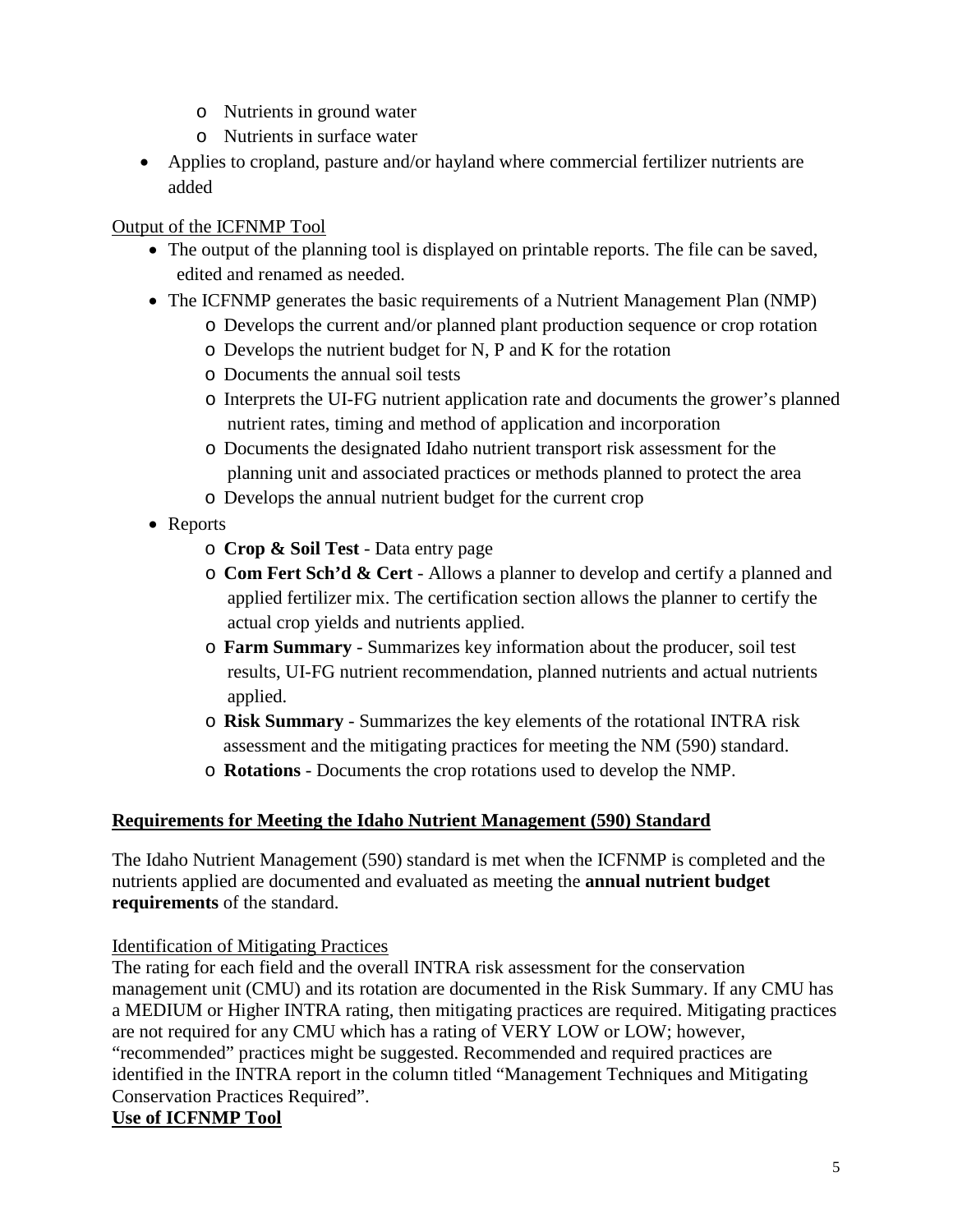- o Nutrients in ground water
- o Nutrients in surface water
- Applies to cropland, pasture and/or hayland where commercial fertilizer nutrients are added

# Output of the ICFNMP Tool

- The output of the planning tool is displayed on printable reports. The file can be saved, edited and renamed as needed.
- The ICFNMP generates the basic requirements of a Nutrient Management Plan (NMP)
	- o Develops the current and/or planned plant production sequence or crop rotation
	- o Develops the nutrient budget for N, P and K for the rotation
	- o Documents the annual soil tests
	- o Interprets the UI-FG nutrient application rate and documents the grower's planned nutrient rates, timing and method of application and incorporation
	- o Documents the designated Idaho nutrient transport risk assessment for the planning unit and associated practices or methods planned to protect the area
	- o Develops the annual nutrient budget for the current crop
- Reports
	- o **Crop & Soil Test** Data entry page
	- o **Com Fert Sch'd & Cert** Allows a planner to develop and certify a planned and applied fertilizer mix. The certification section allows the planner to certify the actual crop yields and nutrients applied.
	- o **Farm Summary** Summarizes key information about the producer, soil test results, UI-FG nutrient recommendation, planned nutrients and actual nutrients applied.
	- o **Risk Summary** Summarizes the key elements of the rotational INTRA risk assessment and the mitigating practices for meeting the NM (590) standard.
	- o **Rotations** Documents the crop rotations used to develop the NMP.

# **Requirements for Meeting the Idaho Nutrient Management (590) Standard**

The Idaho Nutrient Management (590) standard is met when the ICFNMP is completed and the nutrients applied are documented and evaluated as meeting the **annual nutrient budget requirements** of the standard.

Identification of Mitigating Practices

The rating for each field and the overall INTRA risk assessment for the conservation management unit (CMU) and its rotation are documented in the Risk Summary. If any CMU has a MEDIUM or Higher INTRA rating, then mitigating practices are required. Mitigating practices are not required for any CMU which has a rating of VERY LOW or LOW; however, "recommended" practices might be suggested. Recommended and required practices are identified in the INTRA report in the column titled "Management Techniques and Mitigating Conservation Practices Required".

# **Use of ICFNMP Tool**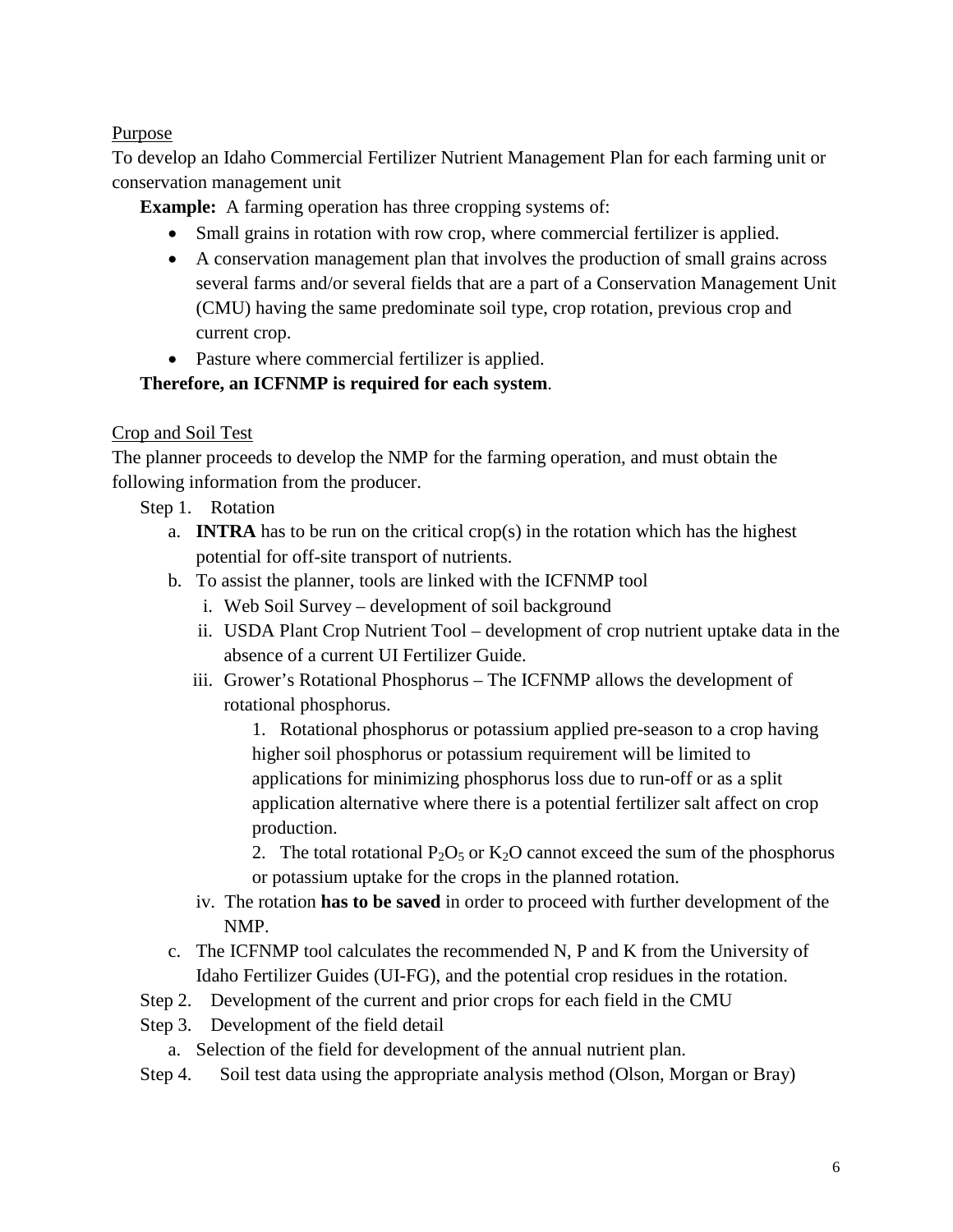## Purpose

To develop an Idaho Commercial Fertilizer Nutrient Management Plan for each farming unit or conservation management unit

**Example:** A farming operation has three cropping systems of:

- Small grains in rotation with row crop, where commercial fertilizer is applied.
- A conservation management plan that involves the production of small grains across several farms and/or several fields that are a part of a Conservation Management Unit (CMU) having the same predominate soil type, crop rotation, previous crop and current crop.
- Pasture where commercial fertilizer is applied.

### **Therefore, an ICFNMP is required for each system**.

# Crop and Soil Test

The planner proceeds to develop the NMP for the farming operation, and must obtain the following information from the producer.

- Step 1. Rotation
	- a. **INTRA** has to be run on the critical crop(s) in the rotation which has the highest potential for off-site transport of nutrients.
	- b. To assist the planner, tools are linked with the ICFNMP tool
		- i. Web Soil Survey development of soil background
		- ii. USDA Plant Crop Nutrient Tool development of crop nutrient uptake data in the absence of a current UI Fertilizer Guide.
		- iii. Grower's Rotational Phosphorus The ICFNMP allows the development of rotational phosphorus.
			- 1. Rotational phosphorus or potassium applied pre-season to a crop having higher soil phosphorus or potassium requirement will be limited to applications for minimizing phosphorus loss due to run-off or as a split application alternative where there is a potential fertilizer salt affect on crop production.

2. The total rotational  $P_2O_5$  or  $K_2O$  cannot exceed the sum of the phosphorus or potassium uptake for the crops in the planned rotation.

- iv. The rotation **has to be saved** in order to proceed with further development of the NMP.
- c. The ICFNMP tool calculates the recommended N, P and K from the University of Idaho Fertilizer Guides (UI-FG), and the potential crop residues in the rotation.
- Step 2. Development of the current and prior crops for each field in the CMU
- Step 3. Development of the field detail
	- a. Selection of the field for development of the annual nutrient plan.
- Step 4.Soil test data using the appropriate analysis method (Olson, Morgan or Bray)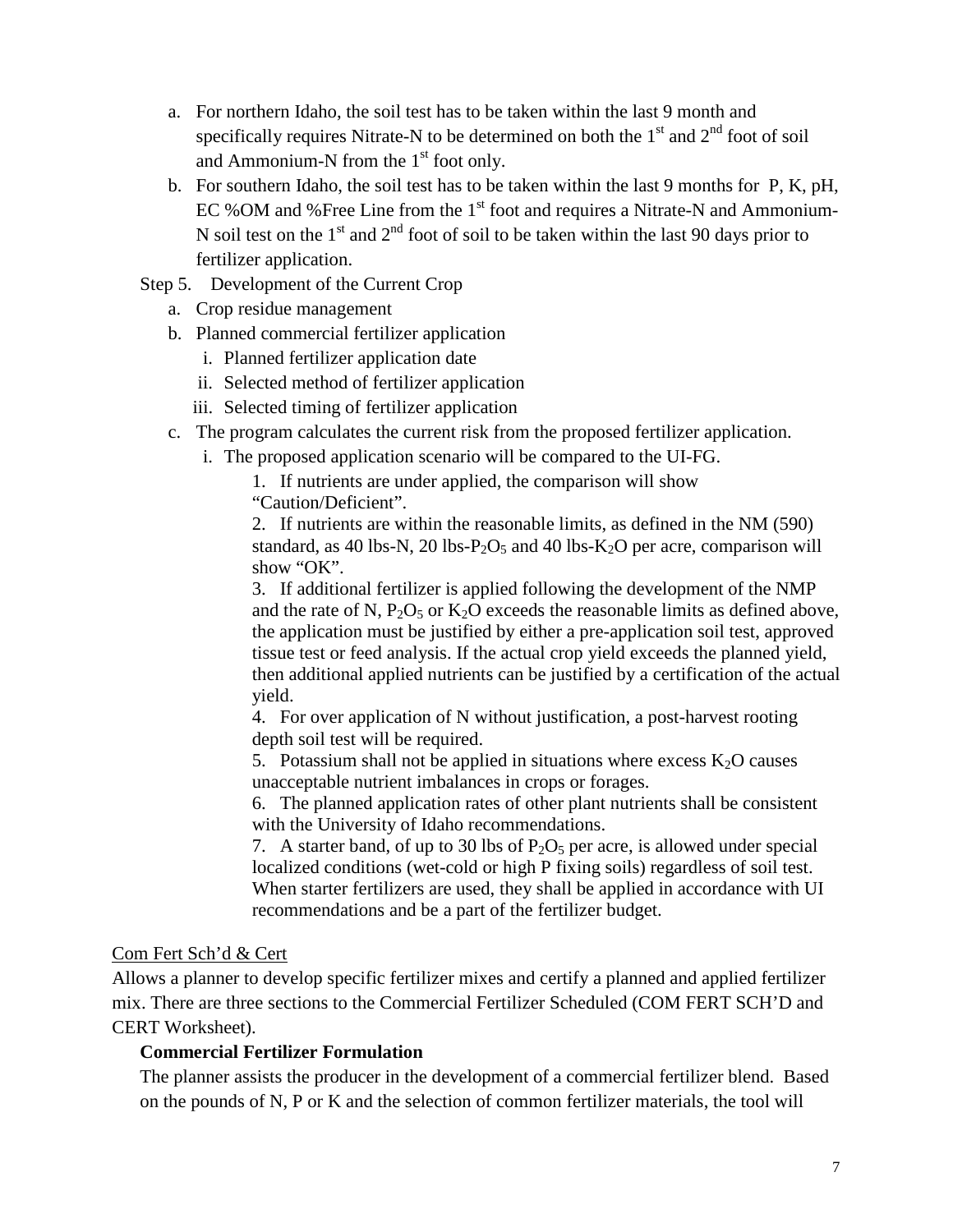- a. For northern Idaho, the soil test has to be taken within the last 9 month and specifically requires Nitrate-N to be determined on both the  $1<sup>st</sup>$  and  $2<sup>nd</sup>$  foot of soil and Ammonium-N from the  $1<sup>st</sup>$  foot only.
- b. For southern Idaho, the soil test has to be taken within the last 9 months for P, K, pH, EC %OM and %Free Line from the  $1<sup>st</sup>$  foot and requires a Nitrate-N and Ammonium-N soil test on the  $1<sup>st</sup>$  and  $2<sup>nd</sup>$  foot of soil to be taken within the last 90 days prior to fertilizer application.
- Step 5. Development of the Current Crop
	- a. Crop residue management
	- b. Planned commercial fertilizer application
		- i. Planned fertilizer application date
		- ii. Selected method of fertilizer application
		- iii. Selected timing of fertilizer application
	- c. The program calculates the current risk from the proposed fertilizer application.
		- i. The proposed application scenario will be compared to the UI-FG.

1. If nutrients are under applied, the comparison will show "Caution/Deficient".

2. If nutrients are within the reasonable limits, as defined in the NM (590) standard, as 40 lbs-N, 20 lbs-P<sub>2</sub>O<sub>5</sub> and 40 lbs-K<sub>2</sub>O per acre, comparison will show "OK".

3. If additional fertilizer is applied following the development of the NMP and the rate of N,  $P_2O_5$  or  $K_2O$  exceeds the reasonable limits as defined above, the application must be justified by either a pre-application soil test, approved tissue test or feed analysis. If the actual crop yield exceeds the planned yield, then additional applied nutrients can be justified by a certification of the actual yield.

4. For over application of N without justification, a post-harvest rooting depth soil test will be required.

5. Potassium shall not be applied in situations where excess  $K_2O$  causes unacceptable nutrient imbalances in crops or forages.

6. The planned application rates of other plant nutrients shall be consistent with the University of Idaho recommendations.

7. A starter band, of up to 30 lbs of  $P_2O_5$  per acre, is allowed under special localized conditions (wet-cold or high P fixing soils) regardless of soil test. When starter fertilizers are used, they shall be applied in accordance with UI recommendations and be a part of the fertilizer budget.

#### Com Fert Sch'd & Cert

Allows a planner to develop specific fertilizer mixes and certify a planned and applied fertilizer mix. There are three sections to the Commercial Fertilizer Scheduled (COM FERT SCH'D and CERT Worksheet).

#### **Commercial Fertilizer Formulation**

The planner assists the producer in the development of a commercial fertilizer blend. Based on the pounds of N, P or K and the selection of common fertilizer materials, the tool will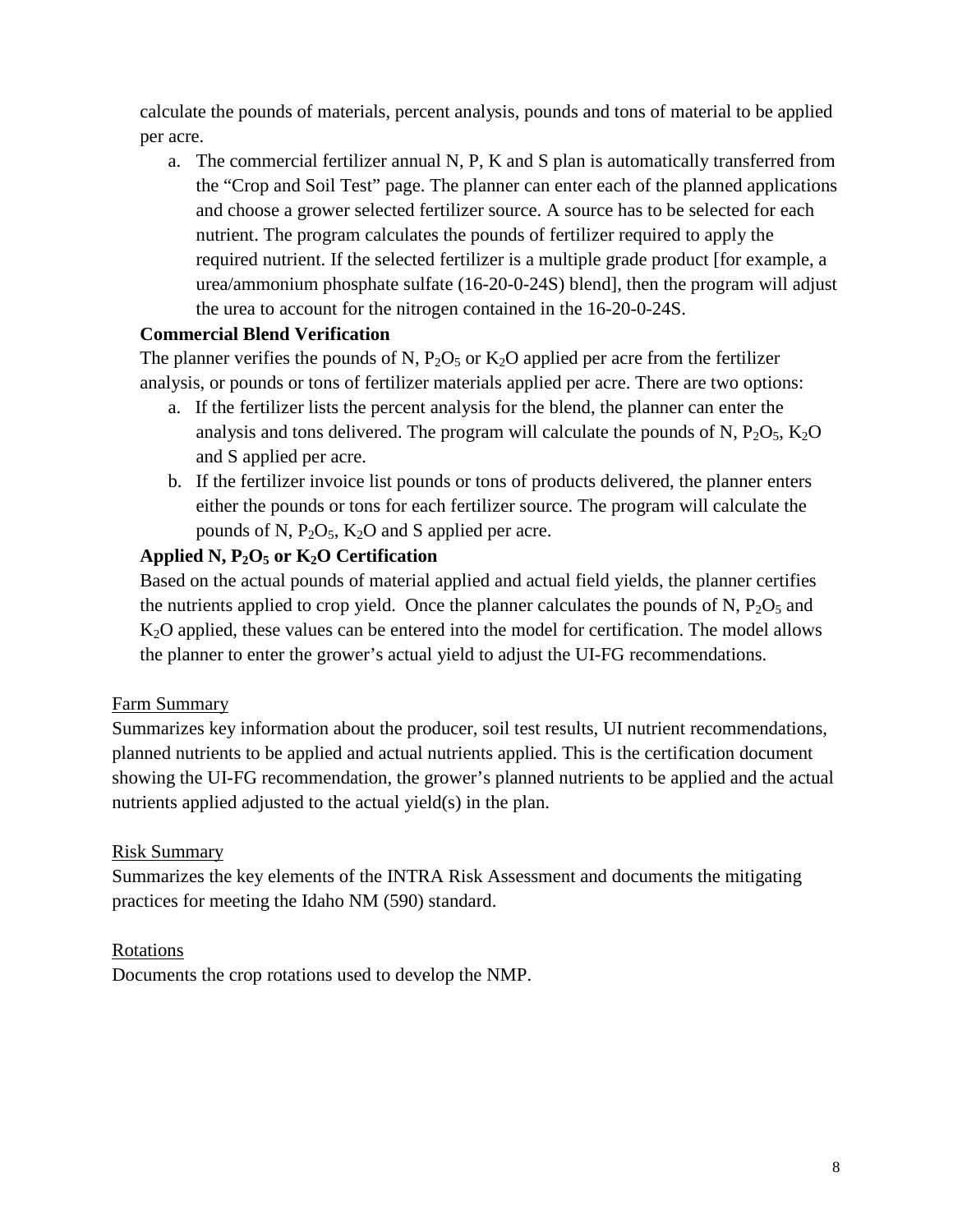calculate the pounds of materials, percent analysis, pounds and tons of material to be applied per acre.

a. The commercial fertilizer annual N, P, K and S plan is automatically transferred from the "Crop and Soil Test" page. The planner can enter each of the planned applications and choose a grower selected fertilizer source. A source has to be selected for each nutrient. The program calculates the pounds of fertilizer required to apply the required nutrient. If the selected fertilizer is a multiple grade product [for example, a urea/ammonium phosphate sulfate (16-20-0-24S) blend], then the program will adjust the urea to account for the nitrogen contained in the 16-20-0-24S.

# **Commercial Blend Verification**

The planner verifies the pounds of N,  $P_2O_5$  or  $K_2O$  applied per acre from the fertilizer analysis, or pounds or tons of fertilizer materials applied per acre. There are two options:

- a. If the fertilizer lists the percent analysis for the blend, the planner can enter the analysis and tons delivered. The program will calculate the pounds of N,  $P_2O_5$ ,  $K_2O$ and S applied per acre.
- b. If the fertilizer invoice list pounds or tons of products delivered, the planner enters either the pounds or tons for each fertilizer source. The program will calculate the pounds of N,  $P_2O_5$ ,  $K_2O$  and S applied per acre.

# **Applied N, P2O5 or K2O Certification**

Based on the actual pounds of material applied and actual field yields, the planner certifies the nutrients applied to crop yield. Once the planner calculates the pounds of N,  $P_2O_5$  and K2O applied, these values can be entered into the model for certification. The model allows the planner to enter the grower's actual yield to adjust the UI-FG recommendations.

#### Farm Summary

Summarizes key information about the producer, soil test results, UI nutrient recommendations, planned nutrients to be applied and actual nutrients applied. This is the certification document showing the UI-FG recommendation, the grower's planned nutrients to be applied and the actual nutrients applied adjusted to the actual yield(s) in the plan.

#### Risk Summary

Summarizes the key elements of the INTRA Risk Assessment and documents the mitigating practices for meeting the Idaho NM (590) standard.

#### Rotations

Documents the crop rotations used to develop the NMP.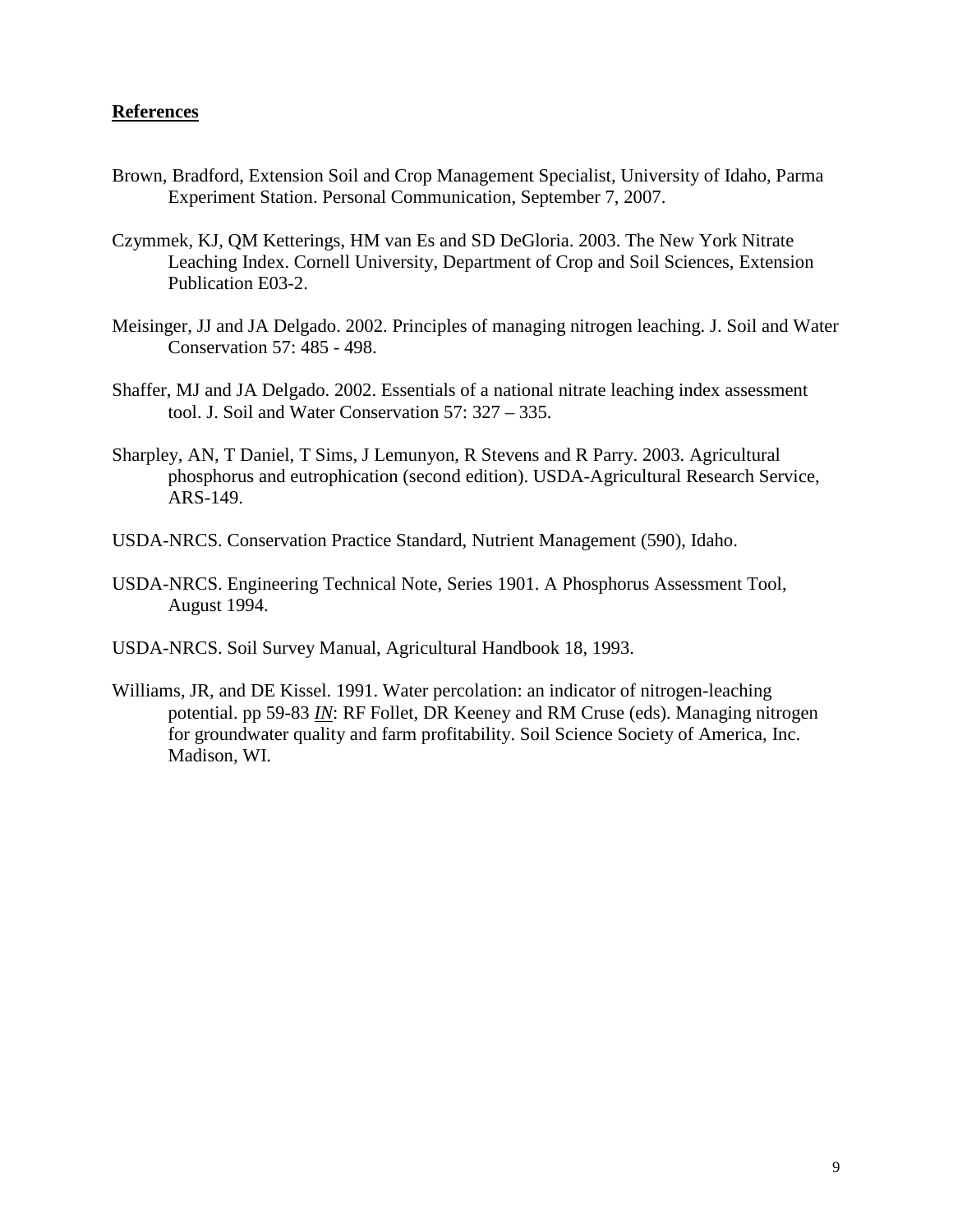#### **References**

- Brown, Bradford, Extension Soil and Crop Management Specialist, University of Idaho, Parma Experiment Station. Personal Communication, September 7, 2007.
- Czymmek, KJ, QM Ketterings, HM van Es and SD DeGloria. 2003. The New York Nitrate Leaching Index. Cornell University, Department of Crop and Soil Sciences, Extension Publication E03-2.
- Meisinger, JJ and JA Delgado. 2002. Principles of managing nitrogen leaching. J. Soil and Water Conservation 57: 485 - 498.
- Shaffer, MJ and JA Delgado. 2002. Essentials of a national nitrate leaching index assessment tool. J. Soil and Water Conservation 57: 327 – 335.
- Sharpley, AN, T Daniel, T Sims, J Lemunyon, R Stevens and R Parry. 2003. Agricultural phosphorus and eutrophication (second edition). USDA-Agricultural Research Service, ARS-149.
- USDA-NRCS. Conservation Practice Standard, Nutrient Management (590), Idaho.
- USDA-NRCS. Engineering Technical Note, Series 1901. A Phosphorus Assessment Tool, August 1994.
- USDA-NRCS. Soil Survey Manual, Agricultural Handbook 18, 1993.
- Williams, JR, and DE Kissel. 1991. Water percolation: an indicator of nitrogen-leaching potential. pp 59-83 *IN*: RF Follet, DR Keeney and RM Cruse (eds). Managing nitrogen for groundwater quality and farm profitability. Soil Science Society of America, Inc. Madison, WI.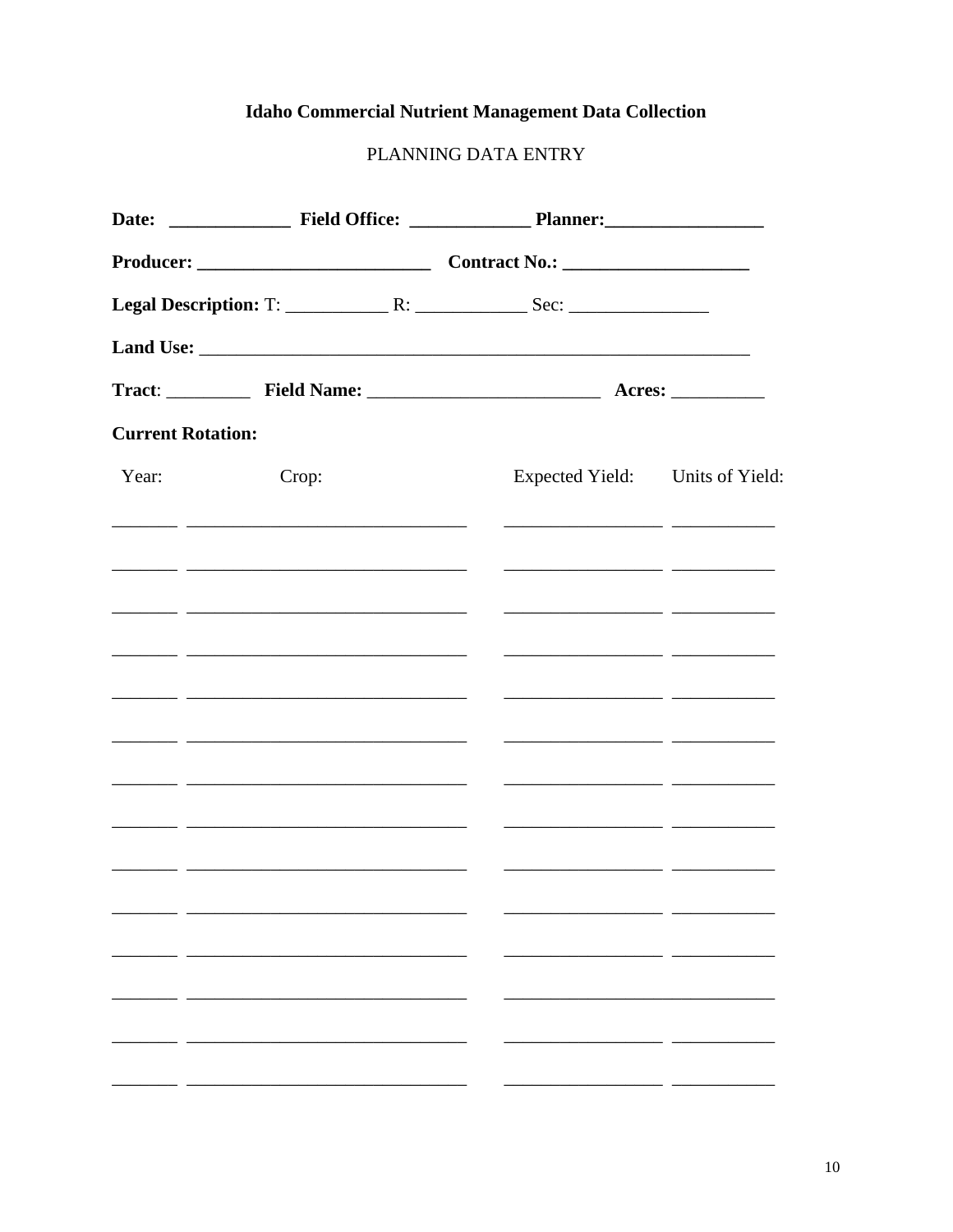# **Idaho Commercial Nutrient Management Data Collection**

# PLANNING DATA ENTRY

| <b>Current Rotation:</b> |                                                                                                                       |                                                                                                                      |  |
|--------------------------|-----------------------------------------------------------------------------------------------------------------------|----------------------------------------------------------------------------------------------------------------------|--|
| Year:                    | Crop:                                                                                                                 | Expected Yield: Units of Yield:                                                                                      |  |
|                          | <u> 1990 - Jan James James, martin amerikan basar (j. 1918)</u>                                                       |                                                                                                                      |  |
|                          | <u> 1999 - Jan James James, martin amerikan basar (j. 1989)</u>                                                       |                                                                                                                      |  |
|                          |                                                                                                                       |                                                                                                                      |  |
|                          | <u> 1989 - Johann Stein, mars et al. (b. 1989)</u>                                                                    |                                                                                                                      |  |
|                          |                                                                                                                       | <u> 1988 - Andrea Barbara, amerikan persoana antzera (h. 1988).</u>                                                  |  |
|                          |                                                                                                                       |                                                                                                                      |  |
|                          |                                                                                                                       |                                                                                                                      |  |
|                          | <u> 1986 - Andrea Barbara, amerikan basar basa dan berasal dalam pengaran basa dan basa dan basa dan basa dalam b</u> | <u> 2000 - Antonio Alemania, provincia popularia e alemanista de la provincia de la provincia de la provincia de</u> |  |
|                          |                                                                                                                       |                                                                                                                      |  |
|                          |                                                                                                                       |                                                                                                                      |  |
|                          |                                                                                                                       |                                                                                                                      |  |
|                          |                                                                                                                       |                                                                                                                      |  |
|                          |                                                                                                                       |                                                                                                                      |  |
|                          |                                                                                                                       |                                                                                                                      |  |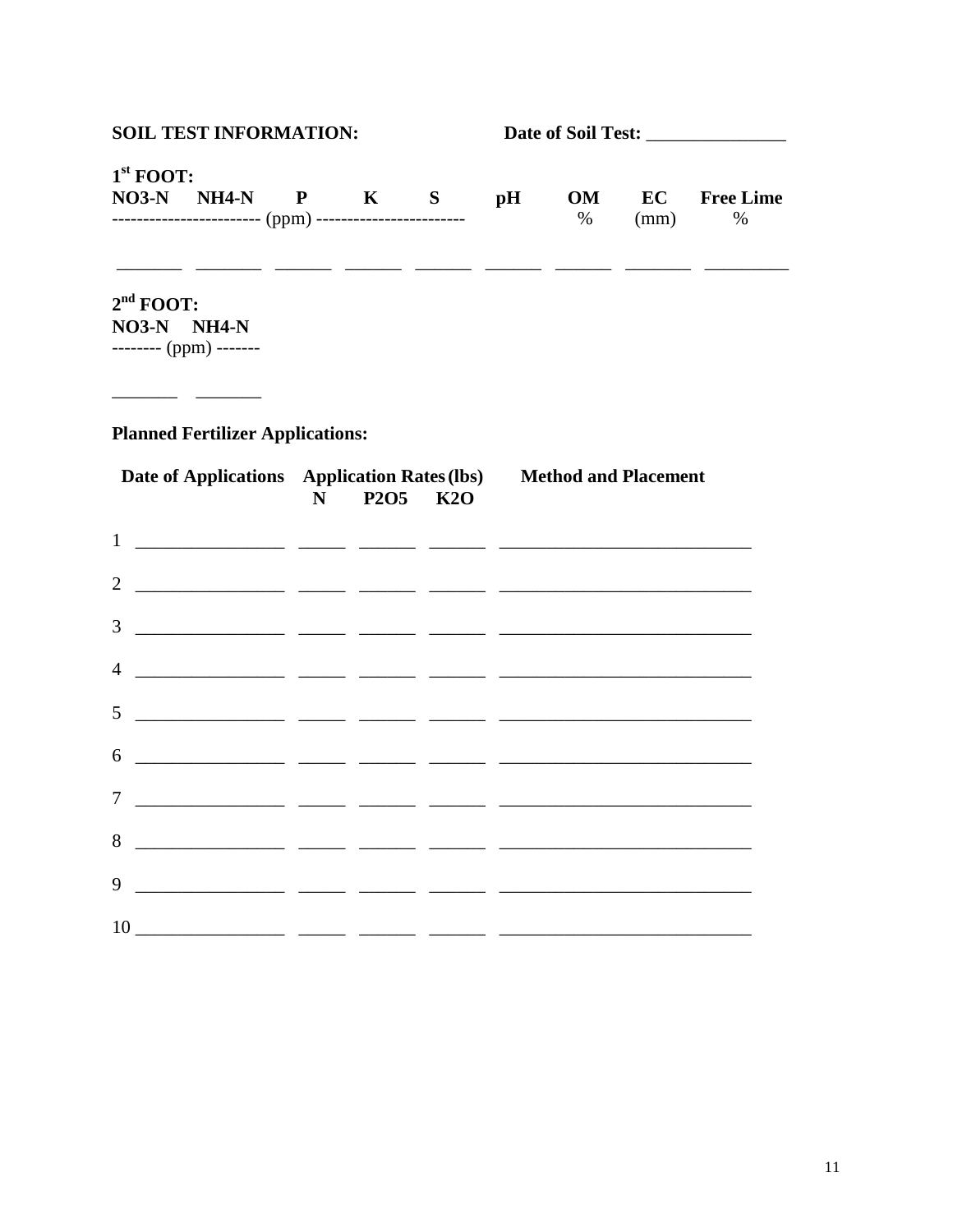| <b>SOIL TEST INFORMATION:</b> |                                                                                                              |   |          |                |            |            |                          |
|-------------------------------|--------------------------------------------------------------------------------------------------------------|---|----------|----------------|------------|------------|--------------------------|
| $1st$ FOOT:                   | $NO3-N$ $NH4-N$ $P$ $K$ $S$<br>------------------------- (ppm) ------------------------                      |   |          | $\mathbf{p}$ H | OM<br>$\%$ | EC<br>(mm) | <b>Free Lime</b><br>$\%$ |
| $2nd$ FOOT:<br>NO3-N NH4-N    | <u> المستحدث المستحدث المستحدث المستحدث المستحدث المستحدث المستحدث</u><br>-------- (ppm) -------             |   |          |                |            |            |                          |
|                               | <b>Planned Fertilizer Applications:</b><br>Date of Applications Application Rates (lbs) Method and Placement | N | P2O5 K2O |                |            |            |                          |
|                               |                                                                                                              |   |          |                |            |            |                          |
| $\overline{2}$                |                                                                                                              |   |          |                |            |            |                          |
| 3                             |                                                                                                              |   |          |                |            |            |                          |
| 4                             |                                                                                                              |   |          |                |            |            |                          |
| 5                             |                                                                                                              |   |          |                |            |            |                          |
| 6                             |                                                                                                              |   |          |                |            |            |                          |
| 7                             |                                                                                                              |   |          |                |            |            |                          |
| 8                             | <u> 1980 - Andrea Andrew Marian, amerikan</u>                                                                |   |          |                |            |            |                          |
| 9                             | <u> 1980 - Jan Stein Harry Holland, amerikan bisan</u>                                                       |   |          |                |            |            |                          |
| 10 \,                         |                                                                                                              |   |          |                |            |            |                          |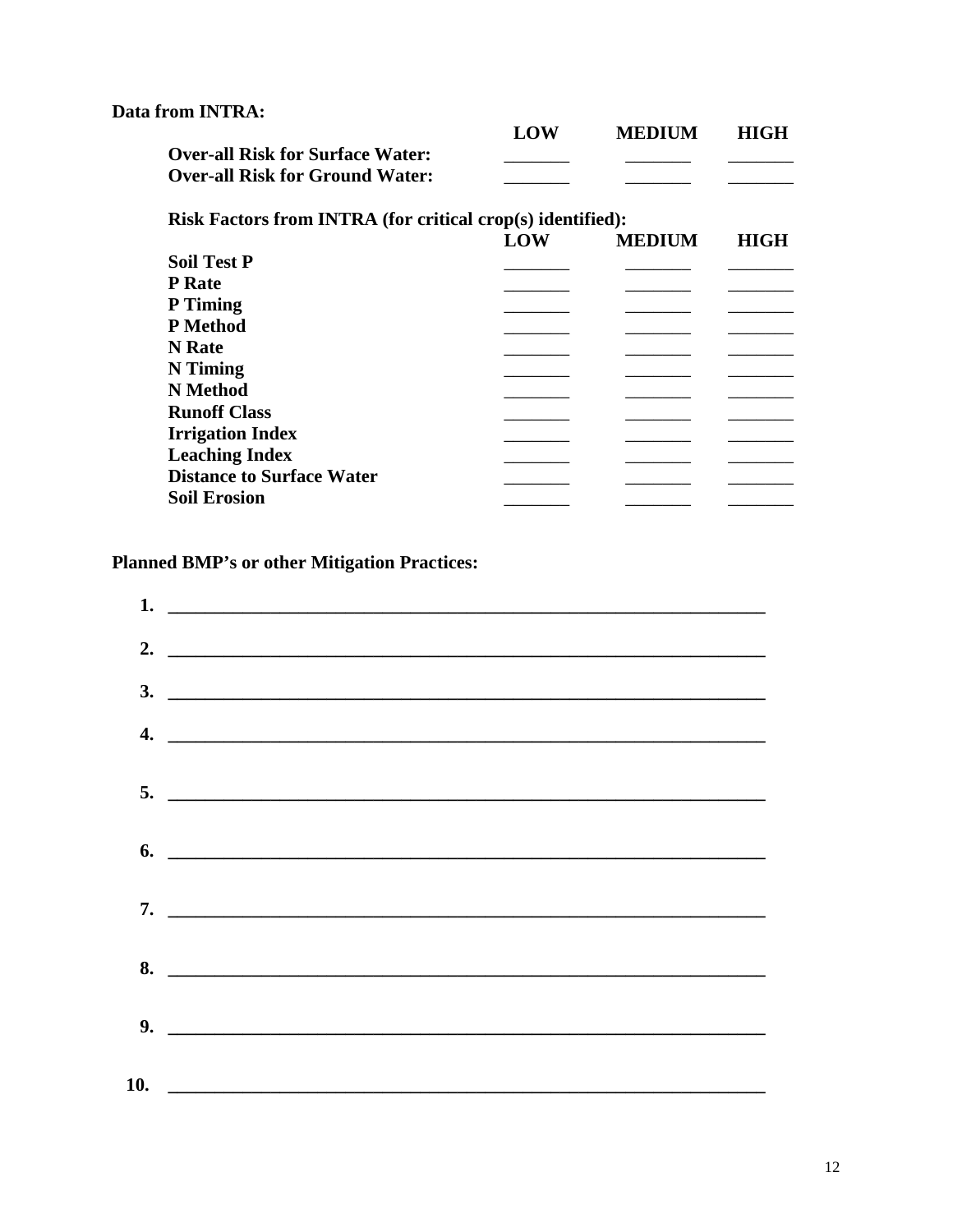#### Data from INTRA:

|                                         | LOW | <b>MEDIUM</b> | <b>HIGH</b> |
|-----------------------------------------|-----|---------------|-------------|
| <b>Over-all Risk for Surface Water:</b> |     |               |             |
| <b>Over-all Risk for Ground Water:</b>  |     |               |             |

**Risk Factors from INTRA (for critical crop(s) identified):** 

|                                  | LOW | <b>MEDIUM</b> | <b>HIGH</b> |
|----------------------------------|-----|---------------|-------------|
| <b>Soil Test P</b>               |     |               |             |
| P Rate                           |     |               |             |
| P Timing                         |     |               |             |
| P Method                         |     |               |             |
| N Rate                           |     |               |             |
| N Timing                         |     |               |             |
| N Method                         |     |               |             |
| <b>Runoff Class</b>              |     |               |             |
| <b>Irrigation Index</b>          |     |               |             |
| <b>Leaching Index</b>            |     |               |             |
| <b>Distance to Surface Water</b> |     |               |             |
| <b>Soil Erosion</b>              |     |               |             |
|                                  |     |               |             |

### **Planned BMP's or other Mitigation Practices:**